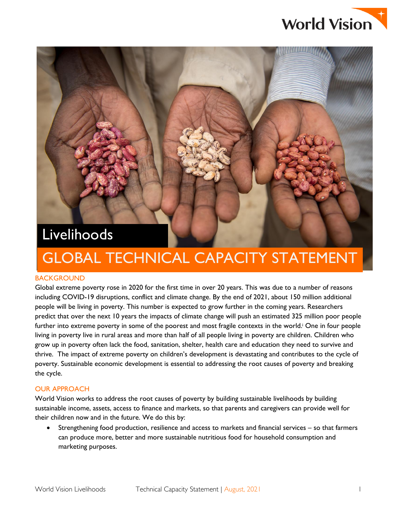

# Livelihoods

# GLOBAL TECHNICAL CAPACITY STATEMENT

## **BACKGROUND**

Global extreme poverty rose in 2020 for the first time in over 20 years. This was due to a number of reasons including COVID-19 disruptions, conflict and climate change. By the end of 2021, about 150 million additional people will be living in poverty. This number is expected to grow further in the coming years. Researchers predict that over the next 10 years the impacts of climate change will push an estimated 325 million poor people further into extreme poverty in some of the poorest and most fragile contexts in the world.<sup>†</sup> One in four people living in poverty live in rural areas and more than half of all people living in poverty are children. Children who grow up in poverty often lack the food, sanitation, shelter, health care and education they need to survive and thrive. The impact of extreme poverty on children's development is devastating and contributes to the cycle of poverty. Sustainable economic development is essential to addressing the root causes of poverty and breaking the cycle.

## OUR APPROACH

World Vision works to address the root causes of poverty by building sustainable livelihoods by building sustainable income, assets, access to finance and markets, so that parents and caregivers can provide well for their children now and in the future. We do this by:

 Strengthening food production, resilience and access to markets and financial services – so that farmers can produce more, better and more sustainable nutritious food for household consumption and marketing purposes.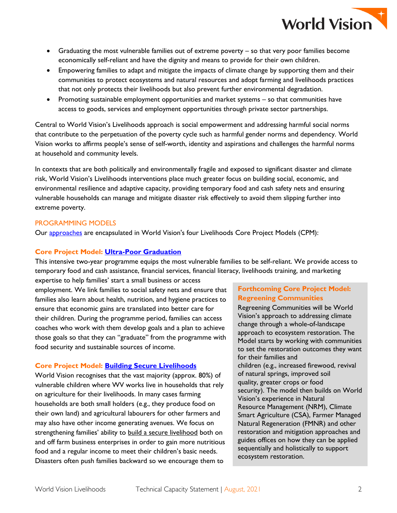

- Graduating the most vulnerable families out of extreme poverty so that very poor families become economically self-reliant and have the dignity and means to provide for their own children.
- Empowering families to adapt and mitigate the impacts of climate change by supporting them and their communities to protect ecosystems and natural resources and adopt farming and livelihoods practices that not only protects their livelihoods but also prevent further environmental degradation.
- Promoting sustainable employment opportunities and market systems so that communities have access to goods, services and employment opportunities through private sector partnerships.

Central to World Vision's Livelihoods approach is social empowerment and addressing harmful social norms that contribute to the perpetuation of the poverty cycle such as harmful gender norms and dependency. World Vision works to affirms people's sense of self-worth, identity and aspirations and challenges the harmful norms at household and community levels.

In contexts that are both politically and environmentally fragile and exposed to significant disaster and climate risk, World Vision's Livelihoods interventions place much greater focus on building social, economic, and environmental resilience and adaptive capacity, providing temporary food and cash safety nets and ensuring vulnerable households can manage and mitigate disaster risk effectively to avoid them slipping further into extreme poverty.

## PROGRAMMING MODELS

Our [approaches](https://www.wvi.org/economic-development/our-approaches) are encapsulated in World Vision's four Livelihoods Core Project Models (CPM):

## **Core Project Model: [Ultra-Poor Graduation](https://www.wvi.org/ultra-poor-graduation)**

This intensive two-year programme equips the most vulnerable families to be self-reliant. We provide access to temporary food and cash assistance, financial services, financial literacy, livelihoods training, and marketing

expertise to help families' start a small business or access employment. We link families to social safety nets and ensure that families also learn about health, nutrition, and hygiene practices to ensure that economic gains are translated into better care for their children. During the programme period, families can access coaches who work with them develop goals and a plan to achieve those goals so that they can "graduate" from the programme with food security and sustainable sources of income.

## **Core Project Model: [Building Secure Livelihoods](https://www.wvi.org/building-secure-livelihoods-0)**

World Vision recognises that the vast majority (approx. 80%) of vulnerable children where WV works live in households that rely on agriculture for their livelihoods. In many cases farming households are both small holders (e.g., they produce food on their own land) and agricultural labourers for other farmers and may also have other income generating avenues. We focus on strengthening families' ability to [build a secure livelihood](https://www.wvi.org/building-secure-livelihoods-0) both on and off farm business enterprises in order to gain more nutritious food and a regular income to meet their children's basic needs. Disasters often push families backward so we encourage them to

# **Forthcoming Core Project Model: Regreening Communities**

Regreening Communities will be World Vision's approach to addressing climate change through a whole-of-landscape approach to ecosystem restoration. The Model starts by working with communities to set the restoration outcomes they want for their families and children (e.g., increased firewood, revival of natural springs, improved soil quality, greater crops or food security). The model then builds on World Vision's experience in Natural Resource Management (NRM), Climate Smart Agriculture (CSA), Farmer Managed Natural Regeneration (FMNR) and other restoration and mitigation approaches and guides offices on how they can be applied sequentially and holistically to support ecosystem restoration.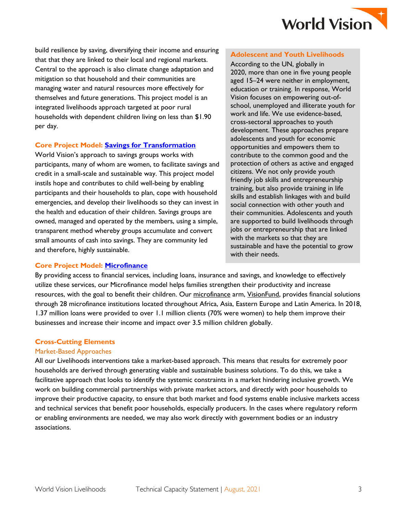

build resilience by saving, diversifying their income and ensuring that that they are linked to their local and regional markets. Central to the approach is also climate change adaptation and mitigation so that household and their communities are managing water and natural resources more effectively for themselves and future generations. This project model is an integrated livelihoods approach targeted at poor rural households with dependent children living on less than \$1.90 per day.

## **Core Project Model: [Savings for Transformation](https://www.wvi.org/savings-transformation)**

World Vision's approach to savings groups works with participants, many of whom are women, to facilitate savings and credit in a small-scale and sustainable way. This project model instils hope and contributes to child well-being by enabling participants and their households to plan, cope with household emergencies, and develop their livelihoods so they can invest in the health and education of their children. Savings groups are owned, managed and operated by the members, using a simple, transparent method whereby groups accumulate and convert small amounts of cash into savings. They are community led and therefore, highly sustainable.

#### **Adolescent and Youth Livelihoods**

According to the UN, globally in 2020, more than one in five young people aged 15–24 were neither in employment, education or training. In response, World Vision focuses on empowering out-ofschool, unemployed and illiterate youth for work and life. We use evidence-based, cross-sectoral approaches to youth development. These approaches prepare adolescents and youth for economic opportunities and empowers them to contribute to the common good and the protection of others as active and engaged citizens. We not only provide youth friendly job skills and entrepreneurship training, but also provide training in life skills and establish linkages with and build social connection with other youth and their communities. Adolescents and youth are supported to build livelihoods through jobs or entrepreneurship that are linked with the markets so that they are sustainable and have the potential to grow with their needs.

## **Core Project Model: [Microfinance](https://www.wvi.org/economic-development/microfinance)**

By providing access to financial services, including loans, insurance and savings, and knowledge to effectively utilize these services, our Microfinance model helps families strengthen their productivity and increase resources, with the goal to benefit their children. Our [microfinance](https://www.wvi.org/microfinance) arm, [VisionFund,](http://www.visionfund.org/) provides financial solutions through 28 microfinance institutions located throughout Africa, Asia, Eastern Europe and Latin America. In 2018, 1.37 million loans were provided to over 1.1 million clients (70% were women) to help them improve their businesses and increase their income and impact over 3.5 million children globally.

## **Cross-Cutting Elements**

## Market-Based Approaches

All our Livelihoods interventions take a market-based approach. This means that results for extremely poor households are derived through generating viable and sustainable business solutions. To do this, we take a facilitative approach that looks to identify the systemic constraints in a market hindering inclusive growth. We work on building commercial partnerships with private market actors, and directly with poor households to improve their productive capacity, to ensure that both market and food systems enable inclusive markets access and technical services that benefit poor households, especially producers. In the cases where regulatory reform or enabling environments are needed, we may also work directly with government bodies or an industry associations.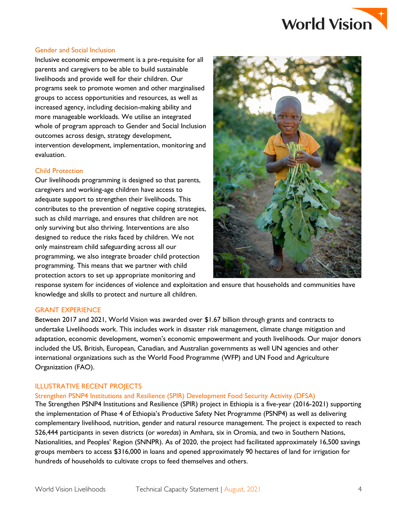

#### Gender and Social Inclusion

Inclusive economic empowerment is a pre-requisite for all parents and caregivers to be able to build sustainable livelihoods and provide well for their children. Our programs seek to promote women and other marginalised groups to access opportunities and resources, as well as increased agency, including decision-making ability and more manageable workloads. We utilise an integrated whole of program approach to Gender and Social Inclusion outcomes across design, strategy development, intervention development, implementation, monitoring and evaluation.

## Child Protection

Our livelihoods programming is designed so that parents, caregivers and working-age children have access to adequate support to strengthen their livelihoods. This contributes to the prevention of negative coping strategies, such as child marriage, and ensures that children are not only surviving but also thriving. Interventions are also designed to reduce the risks faced by children. We not only mainstream child safeguarding across all our programming, we also integrate broader child protection programming. This means that we partner with child protection actors to set up appropriate monitoring and



response system for incidences of violence and exploitation and ensure that households and communities have knowledge and skills to protect and nurture all children.

## GRANT EXPERIENCE

Between 2017 and 2021, World Vision was awarded over \$1.67 billion through grants and contracts to undertake Livelihoods work. This includes work in disaster risk management, climate change mitigation and adaptation, economic development, women's economic empowerment and youth livelihoods. Our major donors included the US, British, European, Canadian, and Australian governments as well UN agencies and other international organizations such as the World Food Programme (WFP) and UN Food and Agriculture Organization (FAO).

## ILLUSTRATIVE RECENT PROJECTS

## Strengthen PSNP4 Institutions and Resilience (SPIR) Development Food Security Activity (DFSA)

The Strengthen PSNP4 Institutions and Resilience (SPIR) project in Ethiopia is a five-year (2016-2021) supporting the implementation of Phase 4 of Ethiopia's Productive Safety Net Programme (PSNP4) as well as delivering complementary livelihood, nutrition, gender and natural resource management. The project is expected to reach 526,444 participants in seven districts (or *woredas*) in Amhara, six in Oromia, and two in Southern Nations, Nationalities, and Peoples' Region (SNNPR). As of 2020, the project had facilitated approximately 16,500 savings groups members to access \$316,000 in loans and opened approximately 90 hectares of land for irrigation for hundreds of households to cultivate crops to feed themselves and others.